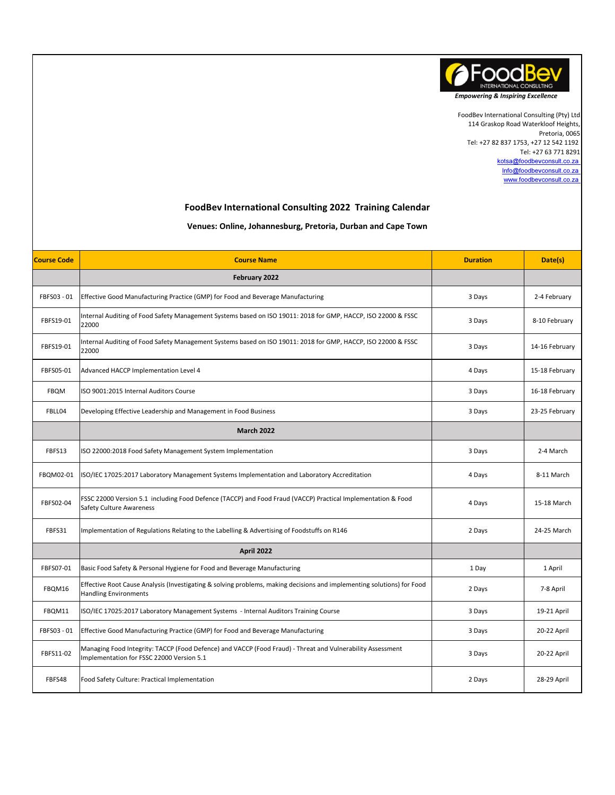

Tel: +27 63 771 8291 kotsa@foodbevconsult.co.za Info@foodbevconsult.co.za www.foodbevconsult.co.za 114 Graskop Road Waterkloof Heights, Pretoria, 0065 Tel: +27 82 837 1753, +27 12 542 1192 FoodBev International Consulting (Pty) Ltd

## FoodBev International Consulting 2022 Training Calendar

## Venues: Online, Johannesburg, Pretoria, Durban and Cape Town

| <b>Course Code</b> | <b>Course Name</b>                                                                                                                                      | <b>Duration</b> | Date(s)        |
|--------------------|---------------------------------------------------------------------------------------------------------------------------------------------------------|-----------------|----------------|
|                    | February 2022                                                                                                                                           |                 |                |
| FBFS03 - 01        | Effective Good Manufacturing Practice (GMP) for Food and Beverage Manufacturing                                                                         | 3 Days          | 2-4 February   |
| FBFS19-01          | Internal Auditing of Food Safety Management Systems based on ISO 19011: 2018 for GMP, HACCP, ISO 22000 & FSSC<br>22000                                  | 3 Days          | 8-10 February  |
| FBFS19-01          | Internal Auditing of Food Safety Management Systems based on ISO 19011: 2018 for GMP, HACCP, ISO 22000 & FSSC<br>22000                                  | 3 Days          | 14-16 February |
| FBFS05-01          | Advanced HACCP Implementation Level 4                                                                                                                   | 4 Days          | 15-18 February |
| <b>FBQM</b>        | ISO 9001:2015 Internal Auditors Course                                                                                                                  | 3 Days          | 16-18 February |
| FBLL04             | Developing Effective Leadership and Management in Food Business                                                                                         | 3 Days          | 23-25 February |
|                    | <b>March 2022</b>                                                                                                                                       |                 |                |
| FBFS13             | ISO 22000:2018 Food Safety Management System Implementation                                                                                             | 3 Days          | 2-4 March      |
| FBQM02-01          | ISO/IEC 17025:2017 Laboratory Management Systems Implementation and Laboratory Accreditation                                                            | 4 Days          | 8-11 March     |
| FBFS02-04          | FSSC 22000 Version 5.1 including Food Defence (TACCP) and Food Fraud (VACCP) Practical Implementation & Food<br><b>Safety Culture Awareness</b>         | 4 Days          | 15-18 March    |
| FBFS31             | Implementation of Regulations Relating to the Labelling & Advertising of Foodstuffs on R146                                                             | 2 Days          | 24-25 March    |
|                    | April 2022                                                                                                                                              |                 |                |
| FBFS07-01          | Basic Food Safety & Personal Hygiene for Food and Beverage Manufacturing                                                                                | 1 Day           | 1 April        |
| FBQM16             | Effective Root Cause Analysis (Investigating & solving problems, making decisions and implementing solutions) for Food<br><b>Handling Environments</b>  | 2 Days          | 7-8 April      |
| FBQM11             | ISO/IEC 17025:2017 Laboratory Management Systems - Internal Auditors Training Course                                                                    | 3 Days          | 19-21 April    |
| FBFS03 - 01        | Effective Good Manufacturing Practice (GMP) for Food and Beverage Manufacturing                                                                         | 3 Days          | 20-22 April    |
| FBFS11-02          | Managing Food Integrity: TACCP (Food Defence) and VACCP (Food Fraud) - Threat and Vulnerability Assessment<br>Implementation for FSSC 22000 Version 5.1 | 3 Days          | 20-22 April    |
| FBFS48             | Food Safety Culture: Practical Implementation                                                                                                           | 2 Days          | 28-29 April    |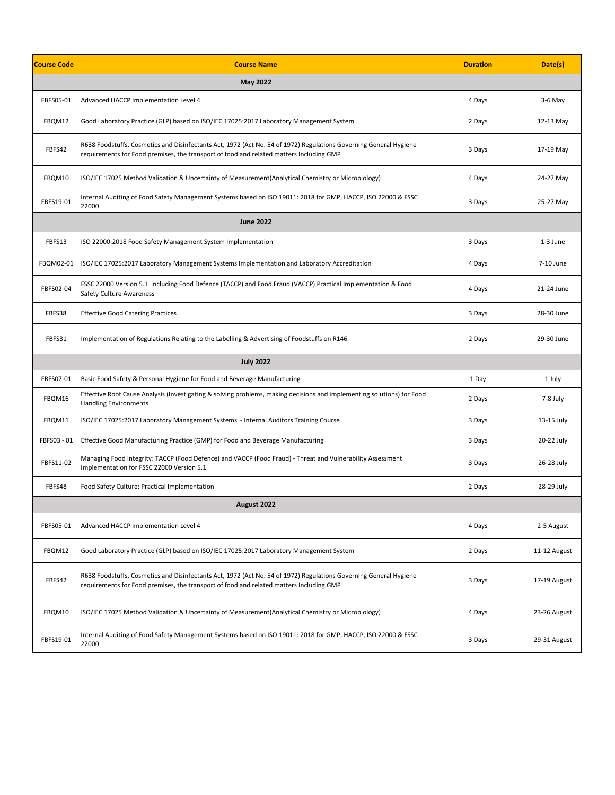| <b>Course Code</b> | <b>Course Name</b>                                                                                                                                                                                           | <b>Duration</b> | Date(s)      |
|--------------------|--------------------------------------------------------------------------------------------------------------------------------------------------------------------------------------------------------------|-----------------|--------------|
|                    | <b>May 2022</b>                                                                                                                                                                                              |                 |              |
| FBFS05-01          | Advanced HACCP Implementation Level 4                                                                                                                                                                        | 4 Days          | $3-6$ May    |
| FBQM12             | Good Laboratory Practice (GLP) based on ISO/IEC 17025:2017 Laboratory Management System                                                                                                                      | 2 Days          | 12-13 May    |
| FBFS42             | R638 Foodstuffs, Cosmetics and Disinfectants Act, 1972 (Act No. 54 of 1972) Regulations Governing General Hygiene<br>requirements for Food premises, the transport of food and related matters Including GMP | 3 Days          | 17-19 May    |
| FBQM10             | ISO/IEC 17025 Method Validation & Uncertainty of Measurement(Analytical Chemistry or Microbiology)                                                                                                           | 4 Days          | 24-27 May    |
| FBFS19-01          | Internal Auditing of Food Safety Management Systems based on ISO 19011: 2018 for GMP, HACCP, ISO 22000 & FSSC<br>22000                                                                                       | 3 Days          | 25-27 May    |
|                    | <b>June 2022</b>                                                                                                                                                                                             |                 |              |
| FBFS13             | ISO 22000:2018 Food Safety Management System Implementation                                                                                                                                                  | 3 Days          | 1-3 June     |
| FBQM02-01          | ISO/IEC 17025:2017 Laboratory Management Systems Implementation and Laboratory Accreditation                                                                                                                 | 4 Days          | 7-10 June    |
| FBFS02-04          | FSSC 22000 Version 5.1 including Food Defence (TACCP) and Food Fraud (VACCP) Practical Implementation & Food<br><b>Safety Culture Awareness</b>                                                              | 4 Days          | 21-24 June   |
| FBFS38             | <b>Effective Good Catering Practices</b>                                                                                                                                                                     | 3 Days          | 28-30 June   |
| FBFS31             | Implementation of Regulations Relating to the Labelling & Advertising of Foodstuffs on R146                                                                                                                  | 2 Days          | 29-30 June   |
|                    | <b>July 2022</b>                                                                                                                                                                                             |                 |              |
| FBFS07-01          | Basic Food Safety & Personal Hygiene for Food and Beverage Manufacturing                                                                                                                                     | 1 Day           | 1 July       |
| FBQM16             | Effective Root Cause Analysis (Investigating & solving problems, making decisions and implementing solutions) for Food<br><b>Handling Environments</b>                                                       | 2 Days          | 7-8 July     |
| FBQM11             | ISO/IEC 17025:2017 Laboratory Management Systems - Internal Auditors Training Course                                                                                                                         | 3 Days          | 13-15 July   |
| FBFS03 - 01        | Effective Good Manufacturing Practice (GMP) for Food and Beverage Manufacturing                                                                                                                              | 3 Days          | 20-22 July   |
| FBFS11-02          | Managing Food Integrity: TACCP (Food Defence) and VACCP (Food Fraud) - Threat and Vulnerability Assessment<br>Implementation for FSSC 22000 Version 5.1                                                      | 3 Days          | 26-28 July   |
| FBFS48             | Food Safety Culture: Practical Implementation                                                                                                                                                                | 2 Days          | 28-29 July   |
|                    | August 2022                                                                                                                                                                                                  |                 |              |
| FBFS05-01          | Advanced HACCP Implementation Level 4                                                                                                                                                                        | 4 Days          | 2-5 August   |
| FBQM12             | Good Laboratory Practice (GLP) based on ISO/IEC 17025:2017 Laboratory Management System                                                                                                                      | 2 Days          | 11-12 August |
| FBFS42             | R638 Foodstuffs, Cosmetics and Disinfectants Act, 1972 (Act No. 54 of 1972) Regulations Governing General Hygiene<br>requirements for Food premises, the transport of food and related matters Including GMP | 3 Days          | 17-19 August |
| FBQM10             | ISO/IEC 17025 Method Validation & Uncertainty of Measurement(Analytical Chemistry or Microbiology)                                                                                                           | 4 Days          | 23-26 August |
| FBFS19-01          | Internal Auditing of Food Safety Management Systems based on ISO 19011: 2018 for GMP, HACCP, ISO 22000 & FSSC<br>22000                                                                                       | 3 Days          | 29-31 August |